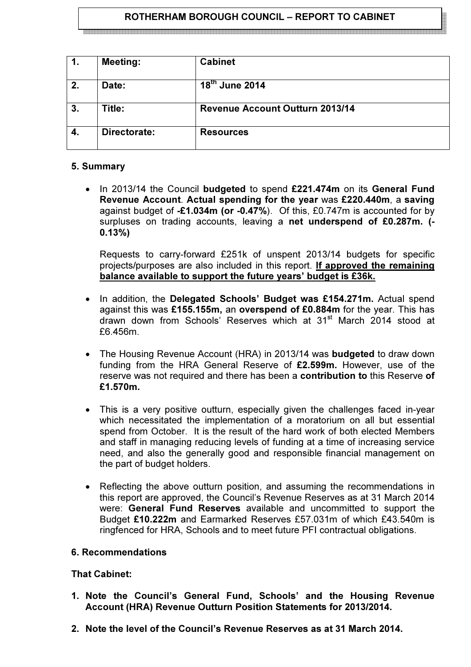# ROTHERHAM BOROUGH COUNCIL – REPORT TO CABINET

1. Meeting: Cabinet  $2.$  Date: <sup>th</sup> June 2014 3. Title: Revenue Account Outturn 2013/14 4. Directorate: Resources

### 5. Summary

In 2013/14 the Council budgeted to spend £221.474m on its General Fund Revenue Account. Actual spending for the year was £220.440m, a saving against budget of -£1.034m (or -0.47%). Of this, £0.747m is accounted for by surpluses on trading accounts, leaving a net underspend of £0.287m. (-0.13%)

Requests to carry-forward £251k of unspent 2013/14 budgets for specific projects/purposes are also included in this report. If approved the remaining balance available to support the future years' budget is £36k.

- In addition, the Delegated Schools' Budget was £154.271m. Actual spend against this was £155.155m, an overspend of £0.884m for the year. This has drawn down from Schools' Reserves which at 31st March 2014 stood at £6.456m.
- The Housing Revenue Account (HRA) in 2013/14 was **budgeted** to draw down funding from the HRA General Reserve of £2.599m. However, use of the reserve was not required and there has been a contribution to this Reserve of £1.570m.
- This is a very positive outturn, especially given the challenges faced in-year which necessitated the implementation of a moratorium on all but essential spend from October. It is the result of the hard work of both elected Members and staff in managing reducing levels of funding at a time of increasing service need, and also the generally good and responsible financial management on the part of budget holders.
- Reflecting the above outturn position, and assuming the recommendations in this report are approved, the Council's Revenue Reserves as at 31 March 2014 were: General Fund Reserves available and uncommitted to support the Budget £10.222m and Earmarked Reserves £57.031m of which £43.540m is ringfenced for HRA, Schools and to meet future PFI contractual obligations.

### 6. Recommendations

### That Cabinet:

- 1. Note the Council's General Fund, Schools' and the Housing Revenue Account (HRA) Revenue Outturn Position Statements for 2013/2014.
- 2. Note the level of the Council's Revenue Reserves as at 31 March 2014.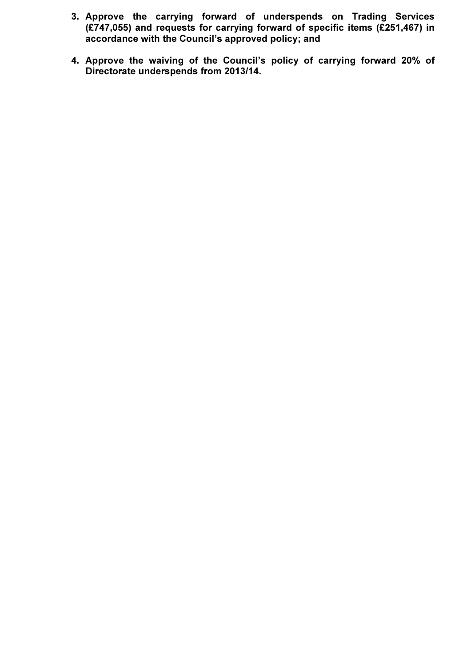- 3. Approve the carrying forward of underspends on Trading Services (£747,055) and requests for carrying forward of specific items (£251,467) in accordance with the Council's approved policy; and
- 4. Approve the waiving of the Council's policy of carrying forward 20% of Directorate underspends from 2013/14.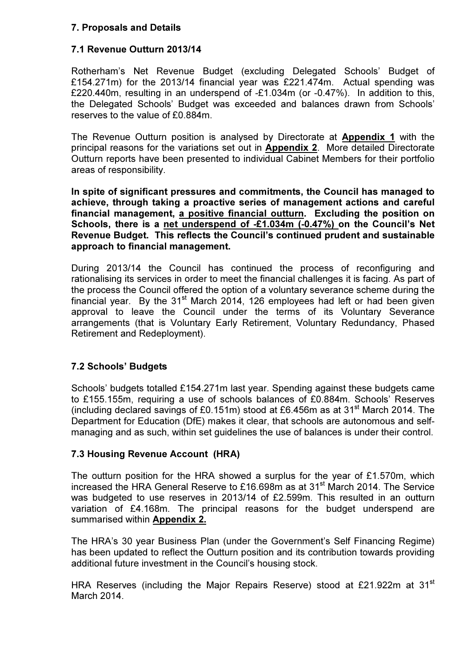### 7. Proposals and Details

### 7.1 Revenue Outturn 2013/14

Rotherham's Net Revenue Budget (excluding Delegated Schools' Budget of £154.271m) for the 2013/14 financial year was £221.474m. Actual spending was £220.440m, resulting in an underspend of -£1.034m (or -0.47%). In addition to this, the Delegated Schools' Budget was exceeded and balances drawn from Schools' reserves to the value of £0.884m.

The Revenue Outturn position is analysed by Directorate at Appendix 1 with the principal reasons for the variations set out in Appendix 2. More detailed Directorate Outturn reports have been presented to individual Cabinet Members for their portfolio areas of responsibility.

In spite of significant pressures and commitments, the Council has managed to achieve, through taking a proactive series of management actions and careful financial management, a positive financial outturn. Excluding the position on Schools, there is a net underspend of -£1.034m (-0.47%) on the Council's Net Revenue Budget. This reflects the Council's continued prudent and sustainable approach to financial management.

During 2013/14 the Council has continued the process of reconfiguring and rationalising its services in order to meet the financial challenges it is facing. As part of the process the Council offered the option of a voluntary severance scheme during the financial year. By the  $31<sup>st</sup>$  March 2014, 126 employees had left or had been given approval to leave the Council under the terms of its Voluntary Severance arrangements (that is Voluntary Early Retirement, Voluntary Redundancy, Phased Retirement and Redeployment).

# 7.2 Schools' Budgets

Schools' budgets totalled £154.271m last year. Spending against these budgets came to £155.155m, requiring a use of schools balances of £0.884m. Schools' Reserves (including declared savings of £0.151m) stood at £6.456m as at 31<sup>st</sup> March 2014. The Department for Education (DfE) makes it clear, that schools are autonomous and selfmanaging and as such, within set guidelines the use of balances is under their control.

# 7.3 Housing Revenue Account (HRA)

The outturn position for the HRA showed a surplus for the year of £1.570m, which increased the HRA General Reserve to £16.698m as at 31<sup>st</sup> March 2014. The Service was budgeted to use reserves in 2013/14 of £2.599m. This resulted in an outturn variation of £4.168m. The principal reasons for the budget underspend are summarised within Appendix 2.

The HRA's 30 year Business Plan (under the Government's Self Financing Regime) has been updated to reflect the Outturn position and its contribution towards providing additional future investment in the Council's housing stock.

HRA Reserves (including the Major Repairs Reserve) stood at £21.922m at 31<sup>st</sup> March 2014.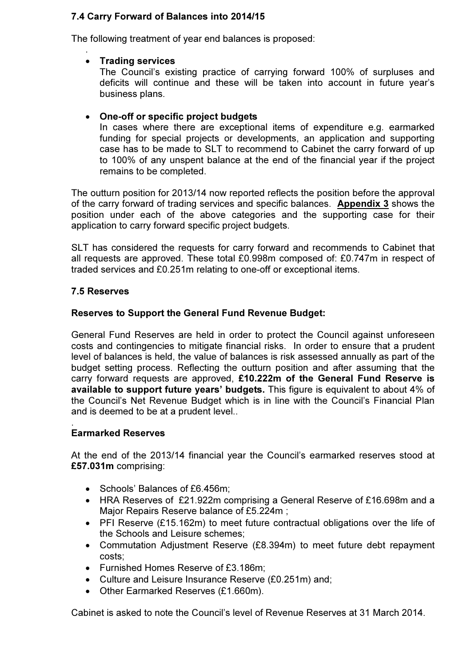# 7.4 Carry Forward of Balances into 2014/15

The following treatment of year end balances is proposed:

### • Trading services

.

The Council's existing practice of carrying forward 100% of surpluses and deficits will continue and these will be taken into account in future year's business plans.

### • One-off or specific project budgets

In cases where there are exceptional items of expenditure e.g. earmarked funding for special projects or developments, an application and supporting case has to be made to SLT to recommend to Cabinet the carry forward of up to 100% of any unspent balance at the end of the financial year if the project remains to be completed.

The outturn position for 2013/14 now reported reflects the position before the approval of the carry forward of trading services and specific balances. Appendix 3 shows the position under each of the above categories and the supporting case for their application to carry forward specific project budgets.

SLT has considered the requests for carry forward and recommends to Cabinet that all requests are approved. These total £0.998m composed of: £0.747m in respect of traded services and £0.251m relating to one-off or exceptional items.

### 7.5 Reserves

### Reserves to Support the General Fund Revenue Budget:

General Fund Reserves are held in order to protect the Council against unforeseen costs and contingencies to mitigate financial risks. In order to ensure that a prudent level of balances is held, the value of balances is risk assessed annually as part of the budget setting process. Reflecting the outturn position and after assuming that the carry forward requests are approved, £10.222m of the General Fund Reserve is available to support future years' budgets. This figure is equivalent to about 4% of the Council's Net Revenue Budget which is in line with the Council's Financial Plan and is deemed to be at a prudent level..

# Earmarked Reserves

.

At the end of the 2013/14 financial year the Council's earmarked reserves stood at £57.031m comprising:

- Schools' Balances of £6.456m;
- HRA Reserves of £21.922m comprising a General Reserve of £16.698m and a Major Repairs Reserve balance of £5.224m ;
- PFI Reserve (£15.162m) to meet future contractual obligations over the life of the Schools and Leisure schemes;
- Commutation Adjustment Reserve (£8.394m) to meet future debt repayment costs;
- Furnished Homes Reserve of £3.186m;
- Culture and Leisure Insurance Reserve (£0.251m) and;
- Other Earmarked Reserves (£1.660m).

Cabinet is asked to note the Council's level of Revenue Reserves at 31 March 2014.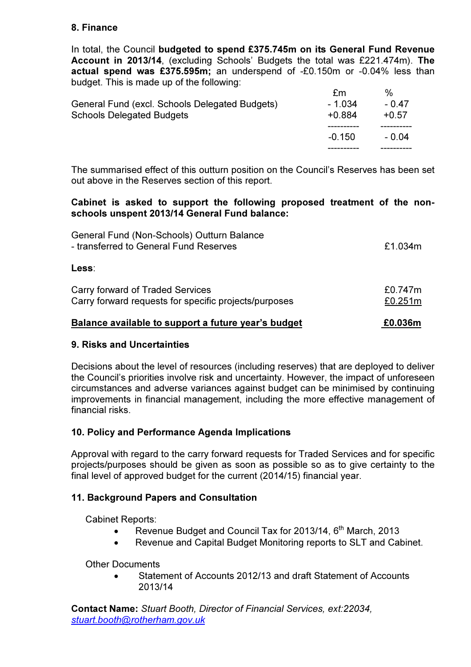# 8. Finance

In total, the Council budgeted to spend £375.745m on its General Fund Revenue Account in 2013/14, (excluding Schools' Budgets the total was £221.474m). The actual spend was £375.595m; an underspend of -£0.150m or -0.04% less than budget. This is made up of the following:

|                                                | $-0.150$ | - 0.04  |
|------------------------------------------------|----------|---------|
|                                                |          |         |
| <b>Schools Delegated Budgets</b>               | $+0.884$ | $+0.57$ |
| General Fund (excl. Schools Delegated Budgets) | - 1.034  | - 0.47  |
|                                                | fm       | %       |

The summarised effect of this outturn position on the Council's Reserves has been set out above in the Reserves section of this report.

### Cabinet is asked to support the following proposed treatment of the nonschools unspent 2013/14 General Fund balance:

| Balance available to support a future year's budget                                       | £0.036m            |
|-------------------------------------------------------------------------------------------|--------------------|
| Carry forward of Traded Services<br>Carry forward requests for specific projects/purposes | £0.747m<br>£0.251m |
| Less:                                                                                     |                    |
| General Fund (Non-Schools) Outturn Balance<br>- transferred to General Fund Reserves      | £1.034m            |

# 9. Risks and Uncertainties

Decisions about the level of resources (including reserves) that are deployed to deliver the Council's priorities involve risk and uncertainty. However, the impact of unforeseen circumstances and adverse variances against budget can be minimised by continuing improvements in financial management, including the more effective management of financial risks.

# 10. Policy and Performance Agenda Implications

Approval with regard to the carry forward requests for Traded Services and for specific projects/purposes should be given as soon as possible so as to give certainty to the final level of approved budget for the current (2014/15) financial year.

# 11. Background Papers and Consultation

Cabinet Reports:

- Revenue Budget and Council Tax for 2013/14,  $6<sup>th</sup>$  March, 2013
- Revenue and Capital Budget Monitoring reports to SLT and Cabinet.

Other Documents

• Statement of Accounts 2012/13 and draft Statement of Accounts 2013/14

Contact Name: Stuart Booth, Director of Financial Services, ext:22034, stuart.booth@rotherham.gov.uk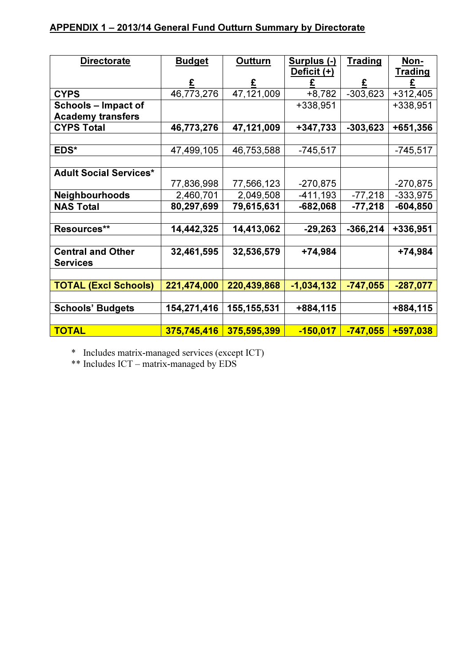# APPENDIX 1 – 2013/14 General Fund Outturn Summary by Directorate

| <b>Directorate</b>            | <b>Budget</b> | <b>Outturn</b> | Surplus (-)  | <b>Trading</b> | Non-           |
|-------------------------------|---------------|----------------|--------------|----------------|----------------|
|                               |               |                | Deficit (+)  |                | <u>Trading</u> |
|                               |               |                |              | £              |                |
| <b>CYPS</b>                   | 46,773,276    | 47,121,009     | $+8,782$     | $-303,623$     | $+312,405$     |
| Schools – Impact of           |               |                | +338,951     |                | +338,951       |
| <b>Academy transfers</b>      |               |                |              |                |                |
| <b>CYPS Total</b>             | 46,773,276    | 47,121,009     | $+347,733$   | $-303,623$     | +651,356       |
|                               |               |                |              |                |                |
| EDS*                          | 47,499,105    | 46,753,588     | $-745,517$   |                | $-745,517$     |
|                               |               |                |              |                |                |
| <b>Adult Social Services*</b> |               |                |              |                |                |
|                               | 77,836,998    | 77,566,123     | $-270,875$   |                | $-270,875$     |
| <b>Neighbourhoods</b>         | 2,460,701     | 2,049,508      | $-411,193$   | $-77,218$      | $-333,975$     |
| <b>NAS Total</b>              | 80,297,699    | 79,615,631     | $-682,068$   | $-77,218$      | $-604,850$     |
|                               |               |                |              |                |                |
| Resources**                   | 14,442,325    | 14,413,062     | $-29,263$    | $-366,214$     | +336,951       |
|                               |               |                |              |                |                |
| <b>Central and Other</b>      | 32,461,595    | 32,536,579     | +74,984      |                | +74,984        |
| <b>Services</b>               |               |                |              |                |                |
|                               |               |                |              |                |                |
| <b>TOTAL (Excl Schools)</b>   | 221,474,000   | 220,439,868    | $-1,034,132$ | $-747,055$     | $-287,077$     |
|                               |               |                |              |                |                |
| <b>Schools' Budgets</b>       | 154,271,416   | 155, 155, 531  | +884,115     |                | +884,115       |
|                               |               |                |              |                |                |
| <b>TOTAL</b>                  | 375,745,416   | 375,595,399    | $-150,017$   | $-747,055$     | +597,038       |

\* Includes matrix-managed services (except ICT)

\*\* Includes ICT – matrix-managed by EDS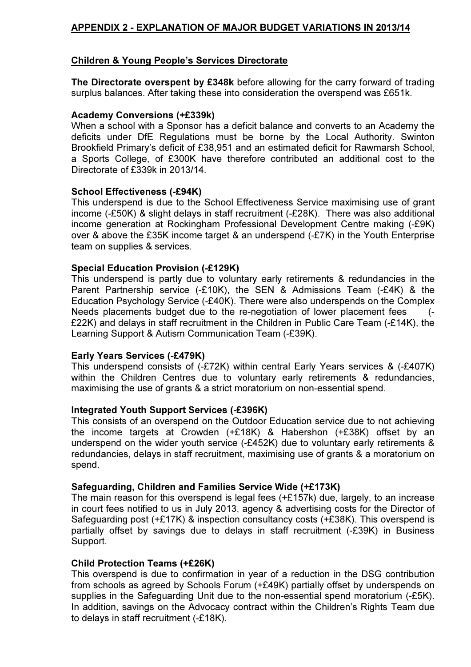# APPENDIX 2 - EXPLANATION OF MAJOR BUDGET VARIATIONS IN 2013/14

### Children & Young People's Services Directorate

The Directorate overspent by £348k before allowing for the carry forward of trading surplus balances. After taking these into consideration the overspend was £651k.

#### Academy Conversions (+£339k)

When a school with a Sponsor has a deficit balance and converts to an Academy the deficits under DfE Regulations must be borne by the Local Authority. Swinton Brookfield Primary's deficit of £38,951 and an estimated deficit for Rawmarsh School, a Sports College, of £300K have therefore contributed an additional cost to the Directorate of £339k in 2013/14.

#### School Effectiveness (-£94K)

This underspend is due to the School Effectiveness Service maximising use of grant income (-£50K) & slight delays in staff recruitment (-£28K). There was also additional income generation at Rockingham Professional Development Centre making (-£9K) over & above the £35K income target & an underspend (-£7K) in the Youth Enterprise team on supplies & services.

#### Special Education Provision (-£129K)

This underspend is partly due to voluntary early retirements & redundancies in the Parent Partnership service (-£10K), the SEN & Admissions Team (-£4K) & the Education Psychology Service (-£40K). There were also underspends on the Complex Needs placements budget due to the re-negotiation of lower placement fees (-£22K) and delays in staff recruitment in the Children in Public Care Team (-£14K), the Learning Support & Autism Communication Team (-£39K).

### Early Years Services (-£479K)

This underspend consists of (-£72K) within central Early Years services & (-£407K) within the Children Centres due to voluntary early retirements & redundancies, maximising the use of grants & a strict moratorium on non-essential spend.

#### Integrated Youth Support Services (-£396K)

This consists of an overspend on the Outdoor Education service due to not achieving the income targets at Crowden (+£18K) & Habershon (+£38K) offset by an underspend on the wider youth service (-£452K) due to voluntary early retirements & redundancies, delays in staff recruitment, maximising use of grants & a moratorium on spend.

#### Safeguarding, Children and Families Service Wide (+£173K)

The main reason for this overspend is legal fees (+£157k) due, largely, to an increase in court fees notified to us in July 2013, agency & advertising costs for the Director of Safeguarding post (+£17K) & inspection consultancy costs (+£38K). This overspend is partially offset by savings due to delays in staff recruitment (-£39K) in Business Support.

#### Child Protection Teams (+£26K)

This overspend is due to confirmation in year of a reduction in the DSG contribution from schools as agreed by Schools Forum (+£49K) partially offset by underspends on supplies in the Safeguarding Unit due to the non-essential spend moratorium (-£5K). In addition, savings on the Advocacy contract within the Children's Rights Team due to delays in staff recruitment (-£18K).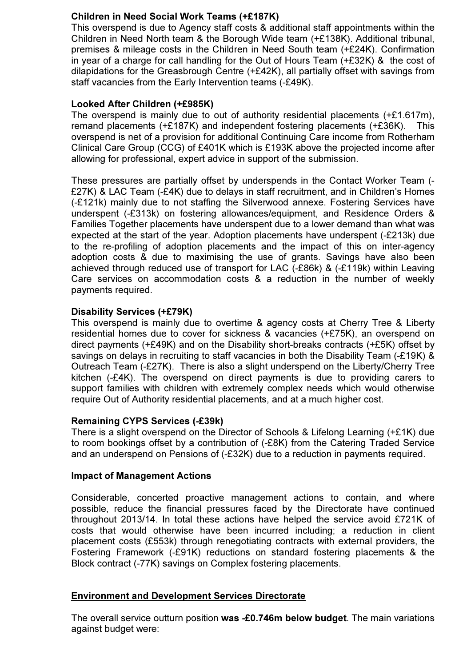# Children in Need Social Work Teams (+£187K)

This overspend is due to Agency staff costs & additional staff appointments within the Children in Need North team & the Borough Wide team (+£138K). Additional tribunal, premises & mileage costs in the Children in Need South team (+£24K). Confirmation in year of a charge for call handling for the Out of Hours Team (+£32K) & the cost of dilapidations for the Greasbrough Centre (+£42K), all partially offset with savings from staff vacancies from the Early Intervention teams (-£49K).

### Looked After Children (+£985K)

The overspend is mainly due to out of authority residential placements (+£1.617m), remand placements (+£187K) and independent fostering placements (+£36K). This overspend is net of a provision for additional Continuing Care income from Rotherham Clinical Care Group (CCG) of £401K which is £193K above the projected income after allowing for professional, expert advice in support of the submission.

These pressures are partially offset by underspends in the Contact Worker Team (- £27K) & LAC Team (-£4K) due to delays in staff recruitment, and in Children's Homes (-£121k) mainly due to not staffing the Silverwood annexe. Fostering Services have underspent (-£313k) on fostering allowances/equipment, and Residence Orders & Families Together placements have underspent due to a lower demand than what was expected at the start of the year. Adoption placements have underspent (-£213k) due to the re-profiling of adoption placements and the impact of this on inter-agency adoption costs & due to maximising the use of grants. Savings have also been achieved through reduced use of transport for LAC (-£86k) & (-£119k) within Leaving Care services on accommodation costs & a reduction in the number of weekly payments required.

### Disability Services (+£79K)

This overspend is mainly due to overtime & agency costs at Cherry Tree & Liberty residential homes due to cover for sickness & vacancies (+£75K), an overspend on direct payments (+£49K) and on the Disability short-breaks contracts (+£5K) offset by savings on delays in recruiting to staff vacancies in both the Disability Team (-£19K) & Outreach Team (-£27K). There is also a slight underspend on the Liberty/Cherry Tree kitchen (-£4K). The overspend on direct payments is due to providing carers to support families with children with extremely complex needs which would otherwise require Out of Authority residential placements, and at a much higher cost.

### Remaining CYPS Services (-£39k)

There is a slight overspend on the Director of Schools & Lifelong Learning (+£1K) due to room bookings offset by a contribution of (-£8K) from the Catering Traded Service and an underspend on Pensions of (-£32K) due to a reduction in payments required.

### Impact of Management Actions

Considerable, concerted proactive management actions to contain, and where possible, reduce the financial pressures faced by the Directorate have continued throughout 2013/14. In total these actions have helped the service avoid £721K of costs that would otherwise have been incurred including; a reduction in client placement costs (£553k) through renegotiating contracts with external providers, the Fostering Framework (-£91K) reductions on standard fostering placements & the Block contract (-77K) savings on Complex fostering placements.

### Environment and Development Services Directorate

The overall service outturn position was -£0.746m below budget. The main variations against budget were: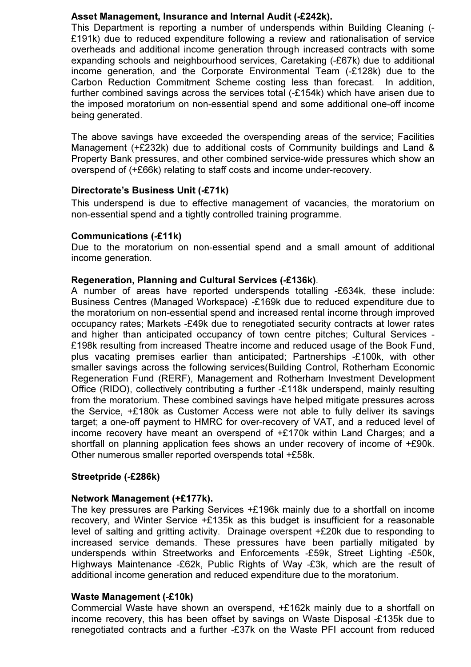### Asset Management, Insurance and Internal Audit (-£242k).

This Department is reporting a number of underspends within Building Cleaning (- £191k) due to reduced expenditure following a review and rationalisation of service overheads and additional income generation through increased contracts with some expanding schools and neighbourhood services, Caretaking (-£67k) due to additional income generation, and the Corporate Environmental Team (-£128k) due to the Carbon Reduction Commitment Scheme costing less than forecast. In addition, further combined savings across the services total (-£154k) which have arisen due to the imposed moratorium on non-essential spend and some additional one-off income being generated.

The above savings have exceeded the overspending areas of the service; Facilities Management (+£232k) due to additional costs of Community buildings and Land & Property Bank pressures, and other combined service-wide pressures which show an overspend of (+£66k) relating to staff costs and income under-recovery.

# Directorate's Business Unit (-£71k)

This underspend is due to effective management of vacancies, the moratorium on non-essential spend and a tightly controlled training programme.

### Communications (-£11k)

Due to the moratorium on non-essential spend and a small amount of additional income generation.

### Regeneration, Planning and Cultural Services (-£136k).

A number of areas have reported underspends totalling -£634k, these include: Business Centres (Managed Workspace) -£169k due to reduced expenditure due to the moratorium on non-essential spend and increased rental income through improved occupancy rates; Markets -£49k due to renegotiated security contracts at lower rates and higher than anticipated occupancy of town centre pitches; Cultural Services - £198k resulting from increased Theatre income and reduced usage of the Book Fund, plus vacating premises earlier than anticipated; Partnerships -£100k, with other smaller savings across the following services(Building Control, Rotherham Economic Regeneration Fund (RERF), Management and Rotherham Investment Development Office (RIDO), collectively contributing a further -£118k underspend, mainly resulting from the moratorium. These combined savings have helped mitigate pressures across the Service, +£180k as Customer Access were not able to fully deliver its savings target; a one-off payment to HMRC for over-recovery of VAT, and a reduced level of income recovery have meant an overspend of +£170k within Land Charges; and a shortfall on planning application fees shows an under recovery of income of +£90k. Other numerous smaller reported overspends total +£58k.

# Streetpride (-£286k)

### Network Management (+£177k).

The key pressures are Parking Services +£196k mainly due to a shortfall on income recovery, and Winter Service +£135k as this budget is insufficient for a reasonable level of salting and gritting activity. Drainage overspent +£20k due to responding to increased service demands. These pressures have been partially mitigated by underspends within Streetworks and Enforcements -£59k, Street Lighting -£50k, Highways Maintenance -£62k, Public Rights of Way -£3k, which are the result of additional income generation and reduced expenditure due to the moratorium.

### Waste Management (-£10k)

Commercial Waste have shown an overspend, +£162k mainly due to a shortfall on income recovery, this has been offset by savings on Waste Disposal -£135k due to renegotiated contracts and a further -£37k on the Waste PFI account from reduced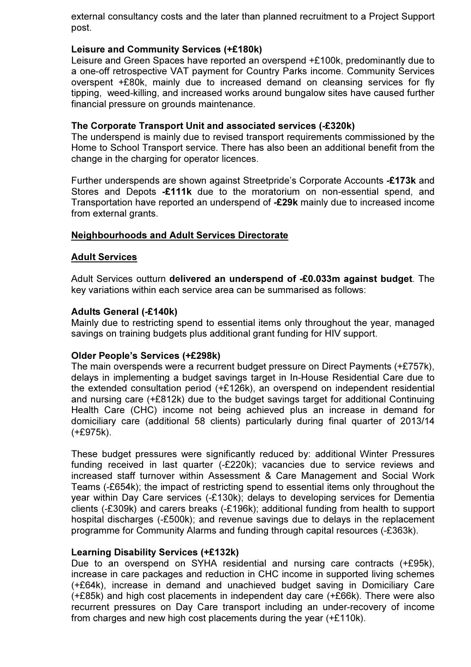external consultancy costs and the later than planned recruitment to a Project Support post.

### Leisure and Community Services (+£180k)

Leisure and Green Spaces have reported an overspend +£100k, predominantly due to a one-off retrospective VAT payment for Country Parks income. Community Services overspent +£80k, mainly due to increased demand on cleansing services for fly tipping, weed-killing, and increased works around bungalow sites have caused further financial pressure on grounds maintenance.

#### The Corporate Transport Unit and associated services (-£320k)

The underspend is mainly due to revised transport requirements commissioned by the Home to School Transport service. There has also been an additional benefit from the change in the charging for operator licences.

Further underspends are shown against Streetpride's Corporate Accounts -£173k and Stores and Depots -£111k due to the moratorium on non-essential spend, and Transportation have reported an underspend of -£29k mainly due to increased income from external grants.

### Neighbourhoods and Adult Services Directorate

#### Adult Services

Adult Services outturn delivered an underspend of -£0.033m against budget. The key variations within each service area can be summarised as follows:

#### Adults General (-£140k)

Mainly due to restricting spend to essential items only throughout the year, managed savings on training budgets plus additional grant funding for HIV support.

#### Older People's Services (+£298k)

The main overspends were a recurrent budget pressure on Direct Payments (+£757k), delays in implementing a budget savings target in In-House Residential Care due to the extended consultation period (+£126k), an overspend on independent residential and nursing care (+£812k) due to the budget savings target for additional Continuing Health Care (CHC) income not being achieved plus an increase in demand for domiciliary care (additional 58 clients) particularly during final quarter of 2013/14 (+£975k).

These budget pressures were significantly reduced by: additional Winter Pressures funding received in last quarter (-£220k); vacancies due to service reviews and increased staff turnover within Assessment & Care Management and Social Work Teams (-£654k); the impact of restricting spend to essential items only throughout the year within Day Care services (-£130k); delays to developing services for Dementia clients (-£309k) and carers breaks (-£196k); additional funding from health to support hospital discharges (-£500k); and revenue savings due to delays in the replacement programme for Community Alarms and funding through capital resources (-£363k).

#### Learning Disability Services (+£132k)

Due to an overspend on SYHA residential and nursing care contracts (+£95k), increase in care packages and reduction in CHC income in supported living schemes (+£64k), increase in demand and unachieved budget saving in Domiciliary Care (+£85k) and high cost placements in independent day care (+£66k). There were also recurrent pressures on Day Care transport including an under-recovery of income from charges and new high cost placements during the year (+£110k).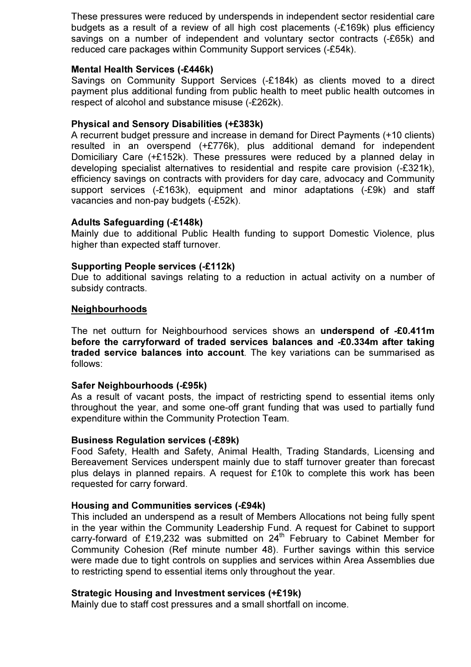These pressures were reduced by underspends in independent sector residential care budgets as a result of a review of all high cost placements (-£169k) plus efficiency savings on a number of independent and voluntary sector contracts (-£65k) and reduced care packages within Community Support services (-£54k).

#### Mental Health Services (-£446k)

Savings on Community Support Services (-£184k) as clients moved to a direct payment plus additional funding from public health to meet public health outcomes in respect of alcohol and substance misuse (-£262k).

#### Physical and Sensory Disabilities (+£383k)

A recurrent budget pressure and increase in demand for Direct Payments (+10 clients) resulted in an overspend (+£776k), plus additional demand for independent Domiciliary Care (+£152k). These pressures were reduced by a planned delay in developing specialist alternatives to residential and respite care provision (-£321k), efficiency savings on contracts with providers for day care, advocacy and Community support services (-£163k), equipment and minor adaptations (-£9k) and staff vacancies and non-pay budgets (-£52k).

#### Adults Safeguarding (-£148k)

Mainly due to additional Public Health funding to support Domestic Violence, plus higher than expected staff turnover.

#### Supporting People services (-£112k)

Due to additional savings relating to a reduction in actual activity on a number of subsidy contracts.

#### Neighbourhoods

The net outturn for Neighbourhood services shows an **underspend of -£0.411m** before the carryforward of traded services balances and -£0.334m after taking traded service balances into account. The key variations can be summarised as follows:

#### Safer Neighbourhoods (-£95k)

As a result of vacant posts, the impact of restricting spend to essential items only throughout the year, and some one-off grant funding that was used to partially fund expenditure within the Community Protection Team.

#### Business Regulation services (-£89k)

Food Safety, Health and Safety, Animal Health, Trading Standards, Licensing and Bereavement Services underspent mainly due to staff turnover greater than forecast plus delays in planned repairs. A request for £10k to complete this work has been requested for carry forward.

#### Housing and Communities services (-£94k)

This included an underspend as a result of Members Allocations not being fully spent in the year within the Community Leadership Fund. A request for Cabinet to support carry-forward of £19,232 was submitted on  $24<sup>th</sup>$  February to Cabinet Member for Community Cohesion (Ref minute number 48). Further savings within this service were made due to tight controls on supplies and services within Area Assemblies due to restricting spend to essential items only throughout the year.

#### Strategic Housing and Investment services (+£19k)

Mainly due to staff cost pressures and a small shortfall on income.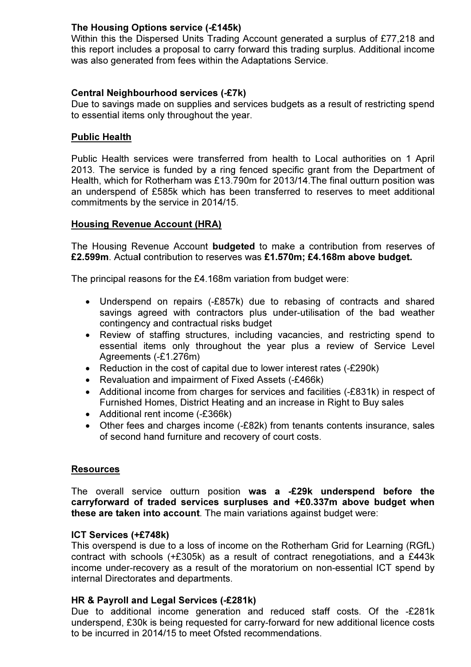# The Housing Options service (-£145k)

Within this the Dispersed Units Trading Account generated a surplus of £77,218 and this report includes a proposal to carry forward this trading surplus. Additional income was also generated from fees within the Adaptations Service.

# Central Neighbourhood services (-£7k)

Due to savings made on supplies and services budgets as a result of restricting spend to essential items only throughout the year.

### Public Health

Public Health services were transferred from health to Local authorities on 1 April 2013. The service is funded by a ring fenced specific grant from the Department of Health, which for Rotherham was £13.790m for 2013/14.The final outturn position was an underspend of £585k which has been transferred to reserves to meet additional commitments by the service in 2014/15.

### Housing Revenue Account (HRA)

The Housing Revenue Account budgeted to make a contribution from reserves of £2.599m. Actual contribution to reserves was £1.570m; £4.168m above budget.

The principal reasons for the £4.168m variation from budget were:

- Underspend on repairs (-£857k) due to rebasing of contracts and shared savings agreed with contractors plus under-utilisation of the bad weather contingency and contractual risks budget
- Review of staffing structures, including vacancies, and restricting spend to essential items only throughout the year plus a review of Service Level Agreements (-£1.276m)
- Reduction in the cost of capital due to lower interest rates (-£290k)
- Revaluation and impairment of Fixed Assets (-£466k)
- Additional income from charges for services and facilities (-£831k) in respect of Furnished Homes, District Heating and an increase in Right to Buy sales
- Additional rent income (-£366k)
- Other fees and charges income (-£82k) from tenants contents insurance, sales of second hand furniture and recovery of court costs.

#### **Resources**

The overall service outturn position was a -£29k underspend before the carryforward of traded services surpluses and +£0.337m above budget when these are taken into account. The main variations against budget were:

### ICT Services (+£748k)

This overspend is due to a loss of income on the Rotherham Grid for Learning (RGfL) contract with schools (+£305k) as a result of contract renegotiations, and a £443k income under-recovery as a result of the moratorium on non-essential ICT spend by internal Directorates and departments.

### HR & Payroll and Legal Services (-£281k)

Due to additional income generation and reduced staff costs. Of the -£281k underspend, £30k is being requested for carry-forward for new additional licence costs to be incurred in 2014/15 to meet Ofsted recommendations.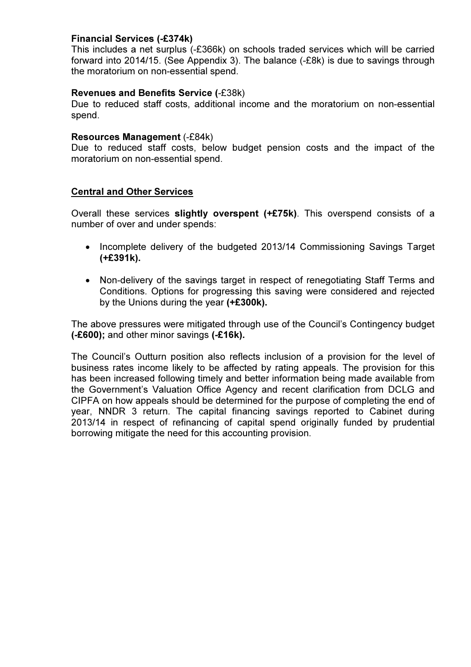### Financial Services (-£374k)

This includes a net surplus (-£366k) on schools traded services which will be carried forward into 2014/15. (See Appendix 3). The balance (-£8k) is due to savings through the moratorium on non-essential spend.

### Revenues and Benefits Service (-£38k)

Due to reduced staff costs, additional income and the moratorium on non-essential spend.

#### Resources Management (-£84k)

Due to reduced staff costs, below budget pension costs and the impact of the moratorium on non-essential spend.

### Central and Other Services

Overall these services slightly overspent (+£75k). This overspend consists of a number of over and under spends:

- Incomplete delivery of the budgeted 2013/14 Commissioning Savings Target (+£391k).
- Non-delivery of the savings target in respect of renegotiating Staff Terms and Conditions. Options for progressing this saving were considered and rejected by the Unions during the year (+£300k).

The above pressures were mitigated through use of the Council's Contingency budget (-£600); and other minor savings (-£16k).

The Council's Outturn position also reflects inclusion of a provision for the level of business rates income likely to be affected by rating appeals. The provision for this has been increased following timely and better information being made available from the Government's Valuation Office Agency and recent clarification from DCLG and CIPFA on how appeals should be determined for the purpose of completing the end of year, NNDR 3 return. The capital financing savings reported to Cabinet during 2013/14 in respect of refinancing of capital spend originally funded by prudential borrowing mitigate the need for this accounting provision.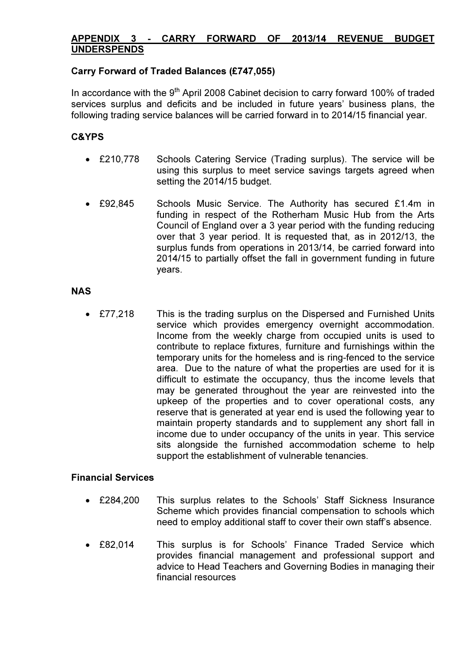# APPENDIX 3 - CARRY FORWARD OF 2013/14 REVENUE BUDGET UNDERSPENDS

### Carry Forward of Traded Balances (£747,055)

In accordance with the 9<sup>th</sup> April 2008 Cabinet decision to carry forward 100% of traded services surplus and deficits and be included in future years' business plans, the following trading service balances will be carried forward in to 2014/15 financial year.

# C&YPS

- £210,778 Schools Catering Service (Trading surplus). The service will be using this surplus to meet service savings targets agreed when setting the 2014/15 budget.
- £92,845 Schools Music Service. The Authority has secured £1.4m in funding in respect of the Rotherham Music Hub from the Arts Council of England over a 3 year period with the funding reducing over that 3 year period. It is requested that, as in 2012/13, the surplus funds from operations in 2013/14, be carried forward into 2014/15 to partially offset the fall in government funding in future years.

### **NAS**

• £77,218 This is the trading surplus on the Dispersed and Furnished Units service which provides emergency overnight accommodation. Income from the weekly charge from occupied units is used to contribute to replace fixtures, furniture and furnishings within the temporary units for the homeless and is ring-fenced to the service area. Due to the nature of what the properties are used for it is difficult to estimate the occupancy, thus the income levels that may be generated throughout the year are reinvested into the upkeep of the properties and to cover operational costs, any reserve that is generated at year end is used the following year to maintain property standards and to supplement any short fall in income due to under occupancy of the units in year. This service sits alongside the furnished accommodation scheme to help support the establishment of vulnerable tenancies.

### Financial Services

- £284,200 This surplus relates to the Schools' Staff Sickness Insurance Scheme which provides financial compensation to schools which need to employ additional staff to cover their own staff's absence.
- £82,014 This surplus is for Schools' Finance Traded Service which provides financial management and professional support and advice to Head Teachers and Governing Bodies in managing their financial resources